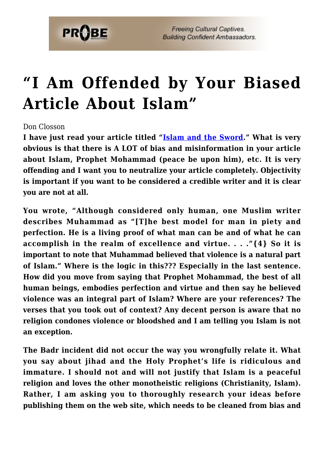

## **["I Am Offended by Your Biased](https://probe.org/i-am-offended-by-your-biased-article-about-islam/) [Article About Islam"](https://probe.org/i-am-offended-by-your-biased-article-about-islam/)**

Don Closson

**I have just read your article titled ["Islam and the Sword](https://www.probe.org/islam-and-the-sword/)." What is very obvious is that there is A LOT of bias and misinformation in your article about Islam, Prophet Mohammad (peace be upon him), etc. It is very offending and I want you to neutralize your article completely. Objectivity is important if you want to be considered a credible writer and it is clear you are not at all.**

**You wrote, "Although considered only human, one Muslim writer describes Muhammad as "[T]he best model for man in piety and perfection. He is a living proof of what man can be and of what he can accomplish in the realm of excellence and virtue. . . ."{4} So it is important to note that Muhammad believed that violence is a natural part of Islam." Where is the logic in this??? Especially in the last sentence. How did you move from saying that Prophet Mohammad, the best of all human beings, embodies perfection and virtue and then say he believed violence was an integral part of Islam? Where are your references? The verses that you took out of context? Any decent person is aware that no religion condones violence or bloodshed and I am telling you Islam is not an exception.**

**The Badr incident did not occur the way you wrongfully relate it. What you say about jihad and the Holy Prophet's life is ridiculous and immature. I should not and will not justify that Islam is a peaceful religion and loves the other monotheistic religions (Christianity, Islam). Rather, I am asking you to thoroughly research your ideas before publishing them on the web site, which needs to be cleaned from bias and**